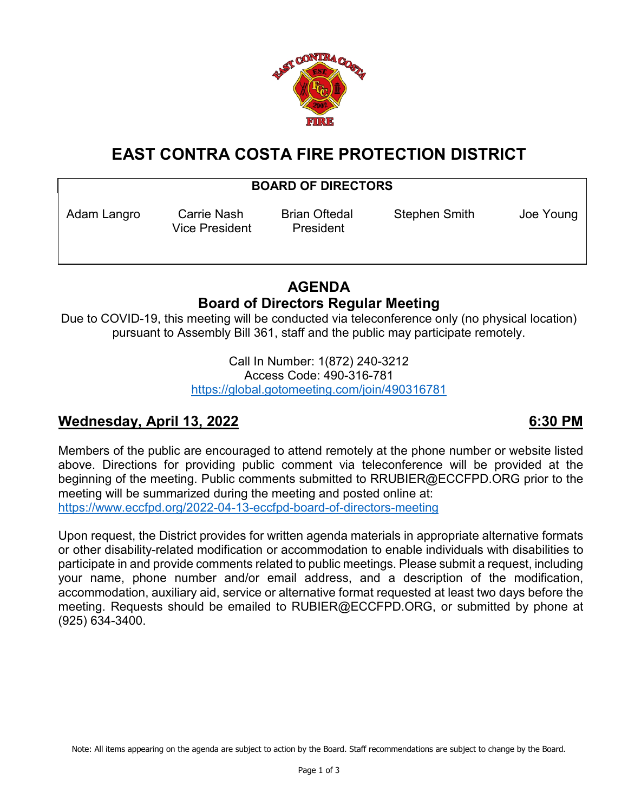

# **EAST CONTRA COSTA FIRE PROTECTION DISTRICT**

## **BOARD OF DIRECTORS**

Vice President President

Adam Langro Carrie Nash Brian Oftedal Stephen Smith Joe Young

## **AGENDA Board of Directors Regular Meeting**

Due to COVID-19, this meeting will be conducted via teleconference only (no physical location) pursuant to Assembly Bill 361, staff and the public may participate remotely.

> Call In Number: 1(872) 240-3212 Access Code: 490-316-781 <https://global.gotomeeting.com/join/490316781>

## **Wednesday, April 13, 2022 6:30 PM**

Members of the public are encouraged to attend remotely at the phone number or website listed above. Directions for providing public comment via teleconference will be provided at the beginning of the meeting. Public comments submitted to RRUBIER@ECCFPD.ORG prior to the meeting will be summarized during the meeting and posted online at: <https://www.eccfpd.org/2022-04-13-eccfpd-board-of-directors-meeting>

Upon request, the District provides for written agenda materials in appropriate alternative formats or other disability-related modification or accommodation to enable individuals with disabilities to participate in and provide comments related to public meetings. Please submit a request, including your name, phone number and/or email address, and a description of the modification, accommodation, auxiliary aid, service or alternative format requested at least two days before the meeting. Requests should be emailed to RUBIER@ECCFPD.ORG, or submitted by phone at (925) 634-3400.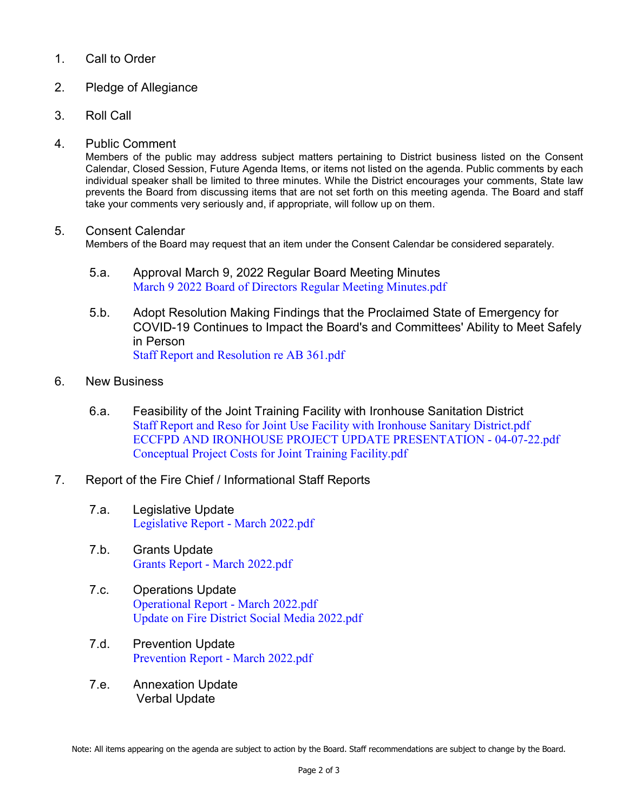### 1. Call to Order

- 2. Pledge of Allegiance
- 3. Roll Call
- 4. Public Comment

Members of the public may address subject matters pertaining to District business listed on the Consent Calendar, Closed Session, Future Agenda Items, or items not listed on the agenda. Public comments by each individual speaker shall be limited to three minutes. While the District encourages your comments, State law prevents the Board from discussing items that are not set forth on this meeting agenda. The Board and staff take your comments very seriously and, if appropriate, will follow up on them.

### 5. Consent Calendar

Members of the Board may request that an item under the Consent Calendar be considered separately.

- 5.a. Approval March 9, 2022 Regular Board Meeting Minutes [March 9 2022 Board of Directors Regular Meeting Minutes.pdf](https://legistarweb-production.s3.amazonaws.com/uploads/attachment/pdf/1325974/March_9_2022_Board_of_Directors_Regular_Meeting_Minutes.pdf)
- 5.b. Adopt Resolution Making Findings that the Proclaimed State of Emergency for COVID-19 Continues to Impact the Board's and Committees' Ability to Meet Safely in Person [Staff Report and Resolution re AB 361.pdf](https://legistarweb-production.s3.amazonaws.com/uploads/attachment/pdf/1319946/Staff_Report_and_Resolution_re_AB_361.pdf)
- 6. New Business
	- 6.a. Feasibility of the Joint Training Facility with Ironhouse Sanitation District [Staff Report and Reso for Joint Use Facility with Ironhouse Sanitary District.pdf](https://legistarweb-production.s3.amazonaws.com/uploads/attachment/pdf/1323969/Staff_Report_and_Reso_for_Joint_Use_Facility_with_Ironhouse_Sanitary_District.pdf) [ECCFPD AND IRONHOUSE PROJECT UPDATE PRESENTATION -](https://legistarweb-production.s3.amazonaws.com/uploads/attachment/pdf/1323974/ECCFPD_AND_IRONHOUSE_PROJECT_UPDATE_PRESENTATION_-_04-07-22.pdf) 04-07-22.pdf [Conceptual Project Costs for Joint Training Facility.pdf](https://legistarweb-production.s3.amazonaws.com/uploads/attachment/pdf/1323965/Conceptual_Project_Costs_for_Joint_Training_Facility.pdf)
- 7. Report of the Fire Chief / Informational Staff Reports
	- 7.a. Legislative Update [Legislative Report -](https://legistarweb-production.s3.amazonaws.com/uploads/attachment/pdf/1323984/Legislative_Report_-_March_2022.pdf) March 2022.pdf
	- 7.b. Grants Update Grants Report - [March 2022.pdf](https://legistarweb-production.s3.amazonaws.com/uploads/attachment/pdf/1323988/Grants_Report_-_March_2022.pdf)
	- 7.c. Operations Update [Operational Report -](https://legistarweb-production.s3.amazonaws.com/uploads/attachment/pdf/1321436/Operational_Report_-_March_2022.pdf) March 2022.pdf [Update on Fire District Social Media 2022.pdf](https://legistarweb-production.s3.amazonaws.com/uploads/attachment/pdf/1321437/Update_on_Fire_District_Social_Media_2022.pdf)
	- 7.d. Prevention Update [Prevention Report -](https://legistarweb-production.s3.amazonaws.com/uploads/attachment/pdf/1320714/Prevention_Report_-_March_2022.pdf) March 2022.pdf
	- 7.e. Annexation Update Verbal Update

Note: All items appearing on the agenda are subject to action by the Board. Staff recommendations are subject to change by the Board.